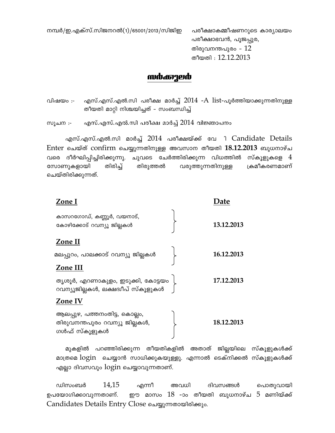$\alpha$ മ്പർ/ഇ.എക്സ്.സിജനറൽ(1)/65001/2013/സിജിഇ പരീക്ഷാകമ്മീഷണറുടെ കാര്യാലയം

പരീക്ഷാഭവൻ, പൂജപ്പുര, തിരുവനന്തപുരം -  $12$ തീയതി $: 12.12.2013$ 

## kuda<del>o</del>ged

വിഷയം :- എസ്.എസ്.എൽ.സി പരീക്ഷ മാർച്ച്  $2014$  - $A$   $list$ -പൂർത്തിയാക്കുന്നതിനുള്ള തീയതി മാറ്റി നിശ്ചയിച്ചത് – സംബന്ധിച്ച്

സൂചന $\cdot$ - എസ്.എസ്.എൽ.സി പരീക്ഷ മാർച്ച് 2014 വിജ്ഞാപനം

എസ്.എസ്.എൽ.സി മാർച്ച് 2014 പരീക്ഷയ്ക്ക് വേ ി Candidate Details Enter ചെയ്ത് confirm ചെയ്യുന്നതിനുള്ള അവസാന തീയതി 18.12.2013 ബുധനാഴ്ച വരെ ദീർഘിപ്പിച്ചിരിക്കുന്നു. ചുവടെ ചേർത്തിരിക്കുന്ന വിധത്തിൽ സ്കൂളുകളെ  $4\,$ സോണുകളായി തിരിച്ച് തിരുത്തൽ വരുത്തുന്നതിനുള്ള ക്രമീകരണമാണ് ചെയ്തിരിക്കുന്നത്.

| Zone I                                                                          | Date       |  |
|---------------------------------------------------------------------------------|------------|--|
| കാസറഗോഡ്, കണ്ണൂർ, വയനാട്,<br>കോഴിക്കോട് റവന്യൂ ജില്ലകൾ                          | 13.12.2013 |  |
| Zone II                                                                         |            |  |
| മലപ്പുറം, പാലക്കാട് റവന്യൂ ജില്ലകൾ                                              | 16.12.2013 |  |
| Zone III                                                                        |            |  |
| തൃശൂർ, എറണാകുളം, ഇടുക്കി, കോട്ടയം<br>റവന്യൂജില്ലകൾ, ലക്ഷദ്വീപ് സ്കൂളുകൾ         | 17.12.2013 |  |
| Zone IV                                                                         |            |  |
| ആലപ്പുഴ, പത്തനംതിട്ട, കൊല്ലം,<br>തിരുവനന്തപുരം റവന്യൂ ജില്ലകൾ,<br>ഗൾഫ് സ്കൂളുകൾ | 18.12.2013 |  |

മുകളിൽ പറഞ്ഞിരിക്കുന്ന തീയതികളിൽ അതാത് ജില്ലയിലെ സ്കൂളുകൾക്<mark>ക്</mark> മാത്രമെ  $\log$ in  $\,$  ചെയ്യാൻ സാധിക്കുകയുള്ളു. എന്നാൽ ടെക്നിക്കൽ സ്കൂളുകൾക്ക് എല്ലാ ദിവസവും  $login$  ചെയ്യാവുന്നതാണ്.

ഡിസംബർ  $14,15$  എന്നീ അവധി ദിവസങ്ങൾ പൊതുവായി ഉപയോഗിക്കാവുന്നതാണ്. ഈ മാസം  $18$  -ാം തീയതി ബുധനാഴ്ച  $5$  മണിയ്ക്ക് Candidates Details Entry Close ചെയ്യുന്നതായിരിക്കും.